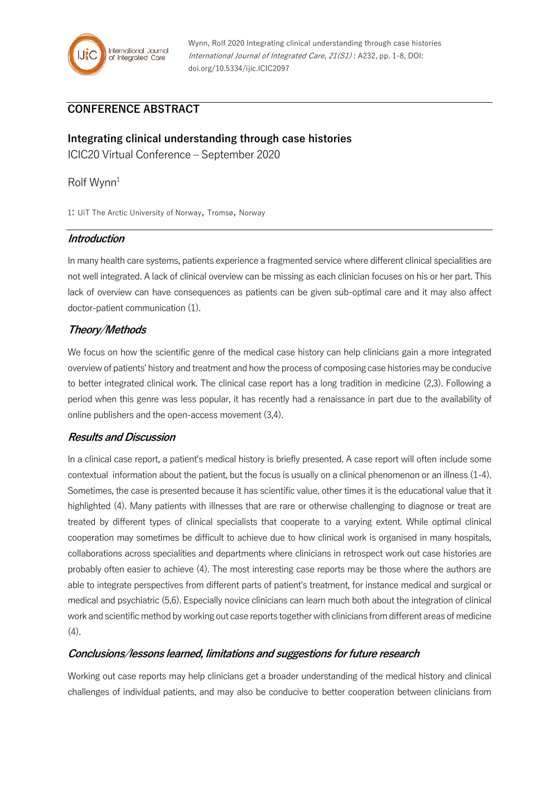

Wynn, Rolf 2020 Integrating clinical understanding through case histories International Journal of Integrated Care, 21(S1) : A232, pp. 1-8, DOI: doi.org/10.5334/ijic.ICIC2097

# **CONFERENCE ABSTRACT**

## **Integrating clinical understanding through case histories**

ICIC20 Virtual Conference – September 2020

Rolf Wynn<sup>1</sup>

1: UiT The Arctic University of Norway, Tromsø, Norway

#### **Introduction**

In many health care systems, patients experience a fragmented service where different clinical specialities are not well integrated. A lack of clinical overview can be missing as each clinician focuses on his or her part. This lack of overview can have consequences as patients can be given sub-optimal care and it may also affect doctor-patient communication (1).

### **Theory/Methods**

We focus on how the scientific genre of the medical case history can help clinicians gain a more integrated overview of patients' history and treatment and how the process of composing case histories may be conducive to better integrated clinical work. The clinical case report has a long tradition in medicine (2,3). Following a period when this genre was less popular, it has recently had a renaissance in part due to the availability of online publishers and the open-access movement (3,4).

### **Results and Discussion**

In a clinical case report, a patient's medical history is briefly presented. A case report will often include some contextual information about the patient, but the focus is usually on a clinical phenomenon or an illness (1-4). Sometimes, the case is presented because it has scientific value, other times it is the educational value that it highlighted (4). Many patients with illnesses that are rare or otherwise challenging to diagnose or treat are treated by different types of clinical specialists that cooperate to a varying extent. While optimal clinical cooperation may sometimes be difficult to achieve due to how clinical work is organised in many hospitals, collaborations across specialities and departments where clinicians in retrospect work out case histories are probably often easier to achieve (4). The most interesting case reports may be those where the authors are able to integrate perspectives from different parts of patient's treatment, for instance medical and surgical or medical and psychiatric (5,6). Especially novice clinicians can learn much both about the integration of clinical work and scientific method by working out case reports together with clinicians from different areas of medicine (4).

### **Conclusions/lessons learned, limitations and suggestions for future research**

Working out case reports may help clinicians get a broader understanding of the medical history and clinical challenges of individual patients, and may also be conducive to better cooperation between clinicians from